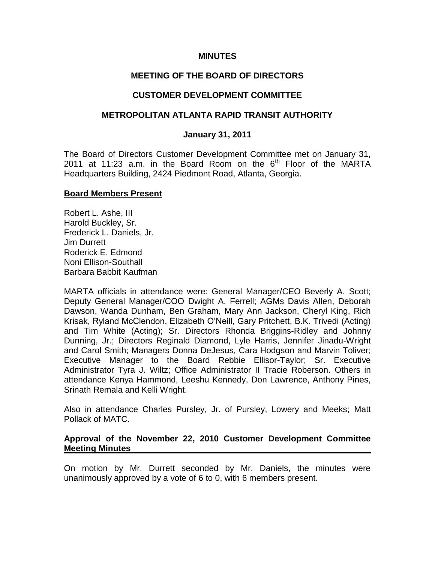### **MINUTES**

## **MEETING OF THE BOARD OF DIRECTORS**

### **CUSTOMER DEVELOPMENT COMMITTEE**

### **METROPOLITAN ATLANTA RAPID TRANSIT AUTHORITY**

#### **January 31, 2011**

The Board of Directors Customer Development Committee met on January 31, 2011 at 11:23 a.m. in the Board Room on the  $6<sup>th</sup>$  Floor of the MARTA Headquarters Building, 2424 Piedmont Road, Atlanta, Georgia.

#### **Board Members Present**

Robert L. Ashe, III Harold Buckley, Sr. Frederick L. Daniels, Jr. Jim Durrett Roderick E. Edmond Noni Ellison-Southall Barbara Babbit Kaufman

MARTA officials in attendance were: General Manager/CEO Beverly A. Scott; Deputy General Manager/COO Dwight A. Ferrell; AGMs Davis Allen, Deborah Dawson, Wanda Dunham, Ben Graham, Mary Ann Jackson, Cheryl King, Rich Krisak, Ryland McClendon, Elizabeth O'Neill, Gary Pritchett, B.K. Trivedi (Acting) and Tim White (Acting); Sr. Directors Rhonda Briggins-Ridley and Johnny Dunning, Jr.; Directors Reginald Diamond, Lyle Harris, Jennifer Jinadu-Wright and Carol Smith; Managers Donna DeJesus, Cara Hodgson and Marvin Toliver; Executive Manager to the Board Rebbie Ellisor-Taylor; Sr. Executive Administrator Tyra J. Wiltz; Office Administrator II Tracie Roberson. Others in attendance Kenya Hammond, Leeshu Kennedy, Don Lawrence, Anthony Pines, Srinath Remala and Kelli Wright.

Also in attendance Charles Pursley, Jr. of Pursley, Lowery and Meeks; Matt Pollack of MATC.

### **Approval of the November 22, 2010 Customer Development Committee Meeting Minutes**

On motion by Mr. Durrett seconded by Mr. Daniels, the minutes were unanimously approved by a vote of 6 to 0, with 6 members present.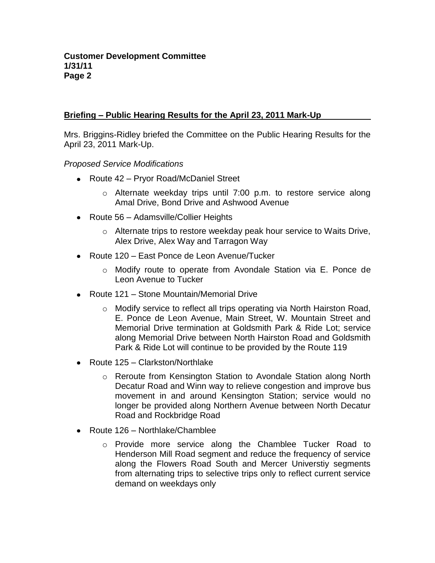# **Briefing – Public Hearing Results for the April 23, 2011 Mark-Up**

Mrs. Briggins-Ridley briefed the Committee on the Public Hearing Results for the April 23, 2011 Mark-Up.

*Proposed Service Modifications*

- Route 42 Pryor Road/McDaniel Street
	- $\circ$  Alternate weekday trips until 7:00 p.m. to restore service along Amal Drive, Bond Drive and Ashwood Avenue
- Route 56 Adamsville/Collier Heights
	- $\circ$  Alternate trips to restore weekday peak hour service to Waits Drive, Alex Drive, Alex Way and Tarragon Way
- Route 120 East Ponce de Leon Avenue/Tucker
	- o Modify route to operate from Avondale Station via E. Ponce de Leon Avenue to Tucker
- Route 121 Stone Mountain/Memorial Drive
	- o Modify service to reflect all trips operating via North Hairston Road, E. Ponce de Leon Avenue, Main Street, W. Mountain Street and Memorial Drive termination at Goldsmith Park & Ride Lot; service along Memorial Drive between North Hairston Road and Goldsmith Park & Ride Lot will continue to be provided by the Route 119
- Route 125 Clarkston/Northlake
	- o Reroute from Kensington Station to Avondale Station along North Decatur Road and Winn way to relieve congestion and improve bus movement in and around Kensington Station; service would no longer be provided along Northern Avenue between North Decatur Road and Rockbridge Road
- Route 126 Northlake/Chamblee
	- o Provide more service along the Chamblee Tucker Road to Henderson Mill Road segment and reduce the frequency of service along the Flowers Road South and Mercer Universtiy segments from alternating trips to selective trips only to reflect current service demand on weekdays only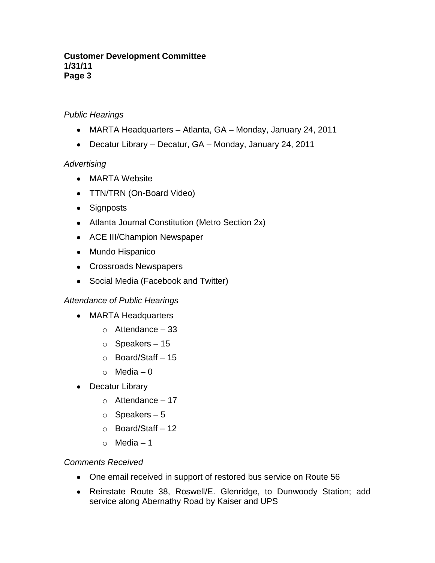### **Customer Development Committee 1/31/11 Page 3**

# *Public Hearings*

- MARTA Headquarters Atlanta, GA Monday, January 24, 2011
- Decatur Library Decatur, GA Monday, January 24, 2011

## *Advertising*

- MARTA Website
- TTN/TRN (On-Board Video)
- Signposts
- Atlanta Journal Constitution (Metro Section 2x)
- ACE III/Champion Newspaper
- Mundo Hispanico
- Crossroads Newspapers
- Social Media (Facebook and Twitter)

## *Attendance of Public Hearings*

- MARTA Headquarters
	- $\circ$  Attendance 33
	- o Speakers 15
	- o Board/Staff 15
	- $\circ$  Media 0
- Decatur Library
	- $\circ$  Attendance 17
	- $\circ$  Speakers 5
	- o Board/Staff 12
	- o Media 1

## *Comments Received*

- One email received in support of restored bus service on Route 56
- Reinstate Route 38, Roswell/E. Glenridge, to Dunwoody Station; add service along Abernathy Road by Kaiser and UPS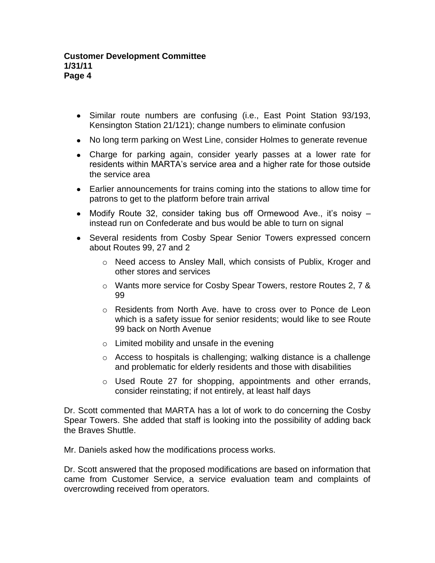- Similar route numbers are confusing (i.e., East Point Station 93/193, Kensington Station 21/121); change numbers to eliminate confusion
- No long term parking on West Line, consider Holmes to generate revenue
- Charge for parking again, consider yearly passes at a lower rate for residents within MARTA's service area and a higher rate for those outside the service area
- Earlier announcements for trains coming into the stations to allow time for patrons to get to the platform before train arrival
- Modify Route 32, consider taking bus off Ormewood Ave., it's noisy instead run on Confederate and bus would be able to turn on signal
- Several residents from Cosby Spear Senior Towers expressed concern about Routes 99, 27 and 2
	- o Need access to Ansley Mall, which consists of Publix, Kroger and other stores and services
	- o Wants more service for Cosby Spear Towers, restore Routes 2, 7 & 99
	- o Residents from North Ave. have to cross over to Ponce de Leon which is a safety issue for senior residents; would like to see Route 99 back on North Avenue
	- $\circ$  Limited mobility and unsafe in the evening
	- o Access to hospitals is challenging; walking distance is a challenge and problematic for elderly residents and those with disabilities
	- o Used Route 27 for shopping, appointments and other errands, consider reinstating; if not entirely, at least half days

Dr. Scott commented that MARTA has a lot of work to do concerning the Cosby Spear Towers. She added that staff is looking into the possibility of adding back the Braves Shuttle.

Mr. Daniels asked how the modifications process works.

Dr. Scott answered that the proposed modifications are based on information that came from Customer Service, a service evaluation team and complaints of overcrowding received from operators.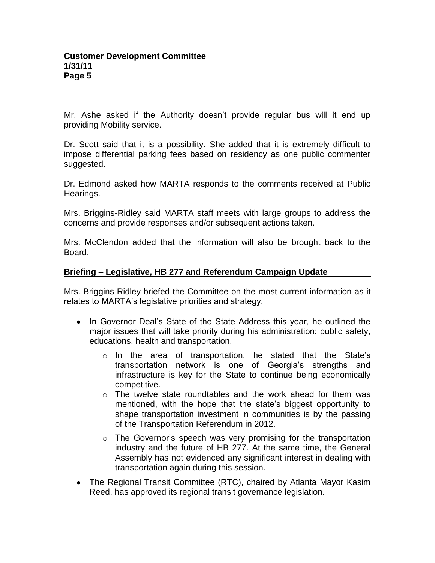Mr. Ashe asked if the Authority doesn't provide regular bus will it end up providing Mobility service.

Dr. Scott said that it is a possibility. She added that it is extremely difficult to impose differential parking fees based on residency as one public commenter suggested.

Dr. Edmond asked how MARTA responds to the comments received at Public Hearings.

Mrs. Briggins-Ridley said MARTA staff meets with large groups to address the concerns and provide responses and/or subsequent actions taken.

Mrs. McClendon added that the information will also be brought back to the Board.

## **Briefing – Legislative, HB 277 and Referendum Campaign Update**

Mrs. Briggins-Ridley briefed the Committee on the most current information as it relates to MARTA's legislative priorities and strategy.

- In Governor Deal's State of the State Address this year, he outlined the major issues that will take priority during his administration: public safety, educations, health and transportation.
	- o In the area of transportation, he stated that the State's transportation network is one of Georgia's strengths and infrastructure is key for the State to continue being economically competitive.
	- $\circ$  The twelve state roundtables and the work ahead for them was mentioned, with the hope that the state's biggest opportunity to shape transportation investment in communities is by the passing of the Transportation Referendum in 2012.
	- o The Governor's speech was very promising for the transportation industry and the future of HB 277. At the same time, the General Assembly has not evidenced any significant interest in dealing with transportation again during this session.
- The Regional Transit Committee (RTC), chaired by Atlanta Mayor Kasim Reed, has approved its regional transit governance legislation.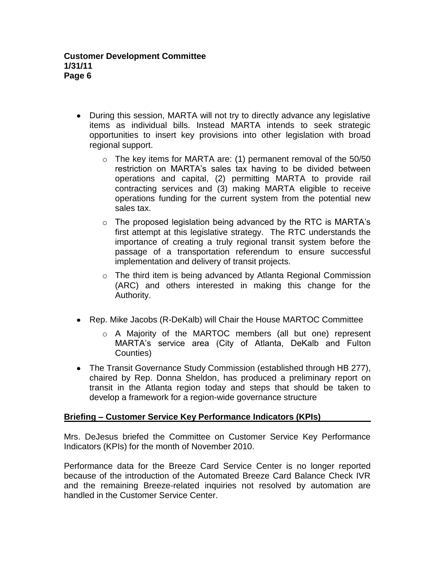- During this session, MARTA will not try to directly advance any legislative items as individual bills. Instead MARTA intends to seek strategic opportunities to insert key provisions into other legislation with broad regional support.
	- $\circ$  The key items for MARTA are: (1) permanent removal of the 50/50 restriction on MARTA's sales tax having to be divided between operations and capital, (2) permitting MARTA to provide rail contracting services and (3) making MARTA eligible to receive operations funding for the current system from the potential new sales tax.
	- o The proposed legislation being advanced by the RTC is MARTA's first attempt at this legislative strategy. The RTC understands the importance of creating a truly regional transit system before the passage of a transportation referendum to ensure successful implementation and delivery of transit projects.
	- o The third item is being advanced by Atlanta Regional Commission (ARC) and others interested in making this change for the Authority.
- Rep. Mike Jacobs (R-DeKalb) will Chair the House MARTOC Committee
	- o A Majority of the MARTOC members (all but one) represent MARTA's service area (City of Atlanta, DeKalb and Fulton Counties)
- The Transit Governance Study Commission (established through HB 277), chaired by Rep. Donna Sheldon, has produced a preliminary report on transit in the Atlanta region today and steps that should be taken to develop a framework for a region-wide governance structure

# **Briefing – Customer Service Key Performance Indicators (KPIs)**

Mrs. DeJesus briefed the Committee on Customer Service Key Performance Indicators (KPIs) for the month of November 2010.

Performance data for the Breeze Card Service Center is no longer reported because of the introduction of the Automated Breeze Card Balance Check IVR and the remaining Breeze-related inquiries not resolved by automation are handled in the Customer Service Center.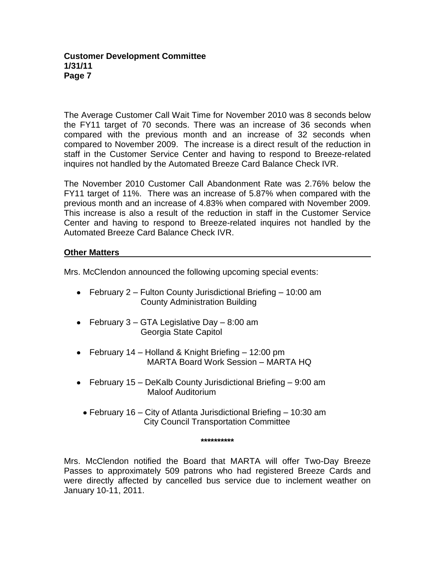#### **Customer Development Committee 1/31/11 Page 7**

The Average Customer Call Wait Time for November 2010 was 8 seconds below the FY11 target of 70 seconds. There was an increase of 36 seconds when compared with the previous month and an increase of 32 seconds when compared to November 2009. The increase is a direct result of the reduction in staff in the Customer Service Center and having to respond to Breeze-related inquires not handled by the Automated Breeze Card Balance Check IVR.

The November 2010 Customer Call Abandonment Rate was 2.76% below the FY11 target of 11%. There was an increase of 5.87% when compared with the previous month and an increase of 4.83% when compared with November 2009. This increase is also a result of the reduction in staff in the Customer Service Center and having to respond to Breeze-related inquires not handled by the Automated Breeze Card Balance Check IVR.

## **Other Matters**

Mrs. McClendon announced the following upcoming special events:

- February 2 Fulton County Jurisdictional Briefing 10:00 am County Administration Building
- February  $3 GTA$  Legislative Day  $-8:00$  am Georgia State Capitol
- February 14 Holland & Knight Briefing 12:00 pm MARTA Board Work Session – MARTA HQ
- February 15 DeKalb County Jurisdictional Briefing 9:00 am Maloof Auditorium
	- February 16 City of Atlanta Jurisdictional Briefing 10:30 am City Council Transportation Committee

**\*\*\*\*\*\*\*\*\*\***

Mrs. McClendon notified the Board that MARTA will offer Two-Day Breeze Passes to approximately 509 patrons who had registered Breeze Cards and were directly affected by cancelled bus service due to inclement weather on January 10-11, 2011.